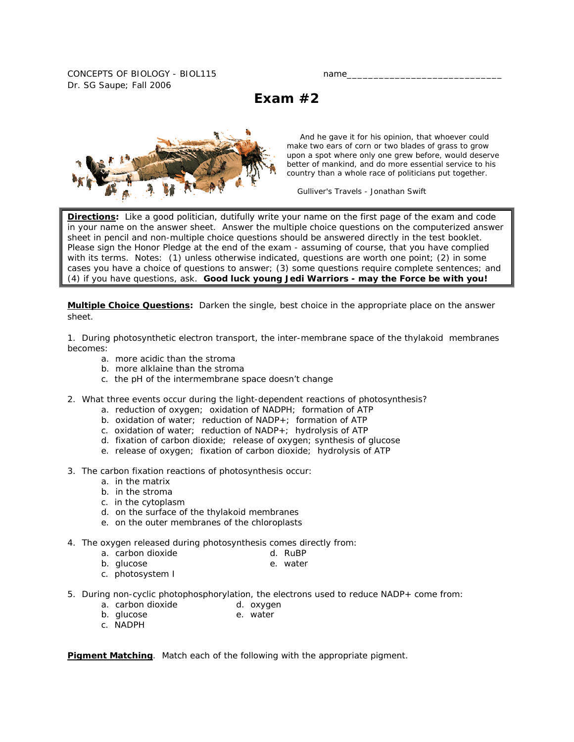CONCEPTS OF BIOLOGY - BIOL115 name Dr. SG Saupe; Fall 2006

**Exam #2** 



 And he gave it for his opinion, that whoever could make two ears of corn or two blades of grass to grow upon a spot where only one grew before, would deserve better of mankind, and do more essential service to his country than a whole race of politicians put together.

*Gulliver's Travels* - Jonathan Swift

**Directions:** Like a good politician, dutifully write your name on the first page of the exam and code in your name on the answer sheet. Answer the multiple choice questions on the computerized answer sheet in pencil and non-multiple choice questions should be answered directly in the test booklet. Please sign the Honor Pledge at the end of the exam - assuming of course, that you have complied with its terms. Notes: (1) unless otherwise indicated, questions are worth one point; (2) in some cases you have a choice of questions to answer; (3) some questions require complete sentences; and (4) if you have questions, ask. **Good luck young Jedi Warriors - may the Force be with you!**

**Multiple Choice Questions:** *Darken the single, best choice in the appropriate place on the answer sheet.* 

1. During photosynthetic electron transport, the inter-membrane space of the thylakoid membranes becomes:

- a. more acidic than the stroma
- b. more alklaine than the stroma
- c. the pH of the intermembrane space doesn't change
- 2. What three events occur during the light-dependent reactions of photosynthesis?
	- a. reduction of oxygen; oxidation of NADPH; formation of ATP
	- b. oxidation of water; reduction of NADP+; formation of ATP
	- c. oxidation of water; reduction of NADP+; hydrolysis of ATP
	- d. fixation of carbon dioxide; release of oxygen; synthesis of glucose
	- e. release of oxygen; fixation of carbon dioxide; hydrolysis of ATP
- 3. The carbon fixation reactions of photosynthesis occur:
	- a. in the matrix
	- b. in the stroma
	- c. in the cytoplasm
	- d. on the surface of the thylakoid membranes
	- e. on the outer membranes of the chloroplasts
- 4. The oxygen released during photosynthesis comes directly from:
	- a. carbon dioxide d. RuBP
	- b. glucose e. water
	- c. photosystem I
- 5. During non-cyclic photophosphorylation, the electrons used to reduce NADP+ come from:
	- a. carbon dioxide a. oxygen<br>
	b. qlucose b. water
	- b. glucose
	- c. NADPH

**Pigment Matching**. Match *each of the following with the appropriate pigment.*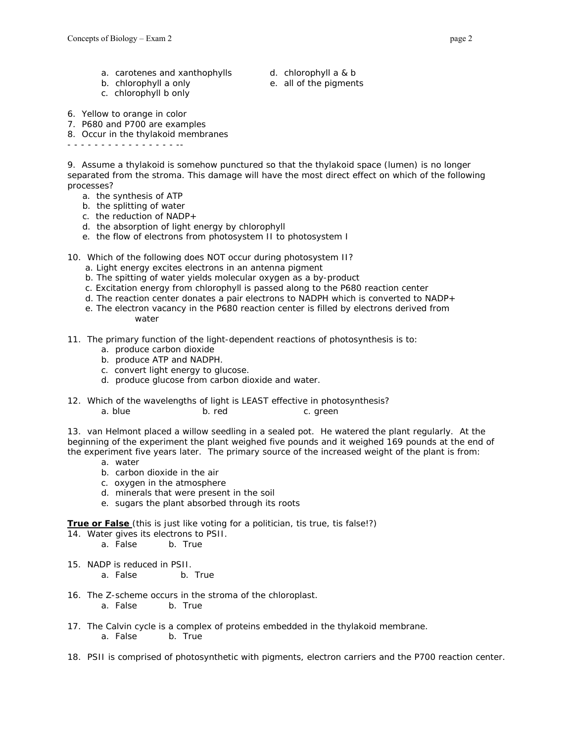- a. carotenes and xanthophylls d. chlorophyll a & b
	-
- 
- c. chlorophyll b only
- b. chlorophyll a only e. all of the pigments
- 6. Yellow to orange in color
- 7. P680 and P700 are examples
- 8. Occur in the thylakoid membranes

- - - - - - - - - - - - - - - - --

9. Assume a thylakoid is somehow punctured so that the thylakoid space (lumen) is no longer separated from the stroma. This damage will have the most direct effect on which of the following processes?

- a. the synthesis of ATP
- b. the splitting of water
- c. the reduction of NADP+
- d. the absorption of light energy by chlorophyll
- e. the flow of electrons from photosystem II to photosystem I
- 10. Which of the following does NOT occur during photosystem II?
	- a. Light energy excites electrons in an antenna pigment
	- b. The spitting of water yields molecular oxygen as a by-product
	- c. Excitation energy from chlorophyll is passed along to the P680 reaction center
	- d. The reaction center donates a pair electrons to NADPH which is converted to NADP+
	- e. The electron vacancy in the P680 reaction center is filled by electrons derived from water
- 11. The primary function of the light-dependent reactions of photosynthesis is to:
	- a. produce carbon dioxide
	- b. produce ATP and NADPH.
	- c. convert light energy to glucose.
	- d. produce glucose from carbon dioxide and water.
- 12. Which of the wavelengths of light is LEAST effective in photosynthesis? a. blue b. red c. green

13. van Helmont placed a willow seedling in a sealed pot. He watered the plant regularly. At the beginning of the experiment the plant weighed five pounds and it weighed 169 pounds at the end of the experiment five years later. The primary source of the increased weight of the plant is from:

- a. water
- b. carbon dioxide in the air
- c. oxygen in the atmosphere
- d. minerals that were present in the soil
- e. sugars the plant absorbed through its roots

**True or False** *(this is just like voting for a politician, tis true, tis false!?)*

- 14. Water gives its electrons to PSII.
	- a. False b. True
- 15. NADP is reduced in PSII.
	- a. False b. True
- 16. The Z-scheme occurs in the stroma of the chloroplast.
	- a. False b. True
- 17. The Calvin cycle is a complex of proteins embedded in the thylakoid membrane. a. False b. True
- 18. PSII is comprised of photosynthetic with pigments, electron carriers and the P700 reaction center.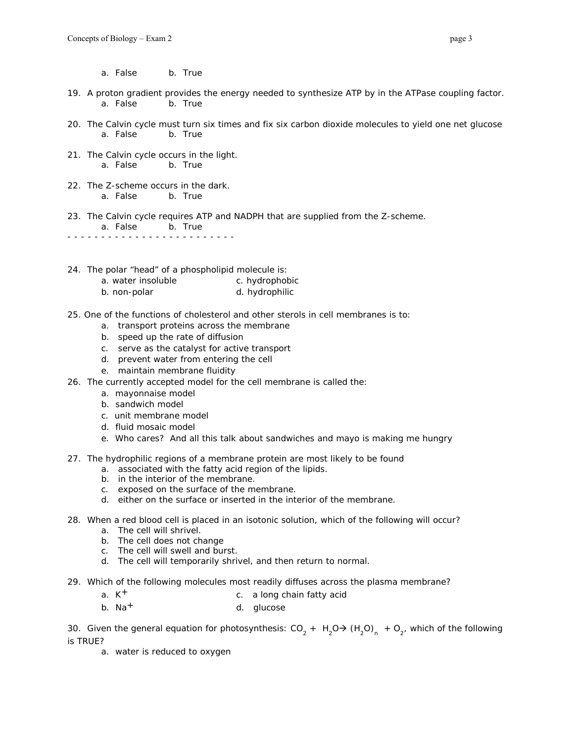a. False b. True

- 19. A proton gradient provides the energy needed to synthesize ATP by in the ATPase coupling factor. a. False b. True
- 20. The Calvin cycle must turn six times and fix six carbon dioxide molecules to yield one net glucose a. False b. True
- 21. The Calvin cycle occurs in the light. a. False b. True
- 22. The Z-scheme occurs in the dark. a. False b. True
- 23. The Calvin cycle requires ATP and NADPH that are supplied from the Z-scheme. a. False b. True - - - - - - - - - - - - - - - - - - - - - - - - -
- 24. The polar "head" of a phospholipid molecule is:
	- a. water insoluble example c. hydrophobic
	- b. non-polar d. hydrophilic
- 25. One of the functions of cholesterol and other sterols in cell membranes is to:
	- a. transport proteins across the membrane
	- b. speed up the rate of diffusion
	- c. serve as the catalyst for active transport
	- d. prevent water from entering the cell
	- e. maintain membrane fluidity
- 26. The currently accepted model for the cell membrane is called the:
	- a. mayonnaise model
	- b. sandwich model
	- c. unit membrane model
	- d. fluid mosaic model
	- e. Who cares? And all this talk about sandwiches and mayo is making me hungry
- 27. The hydrophilic regions of a membrane protein are most likely to be found
	- a. associated with the fatty acid region of the lipids.
	- b. in the interior of the membrane.
	- c. exposed on the surface of the membrane.
	- d. either on the surface or inserted in the interior of the membrane.
- 28. When a red blood cell is placed in an isotonic solution, which of the following will occur?
	- a. The cell will shrivel.
	- b. The cell does not change
	- c. The cell will swell and burst.
	- d. The cell will temporarily shrivel, and then return to normal.
- 29. Which of the following molecules most readily diffuses across the plasma membrane?
	- a.  $K^+$  c. a long chain fatty acid
	- b. Na<sup>+</sup> d. glucose

30. Given the general equation for photosynthesis: CO<sub>2</sub> + H<sub>2</sub>O $\rightarrow$  (H<sub>2</sub>O)<sub>n</sub> + O<sub>2'</sub> which of the following is TRUE?

a. water is reduced to oxygen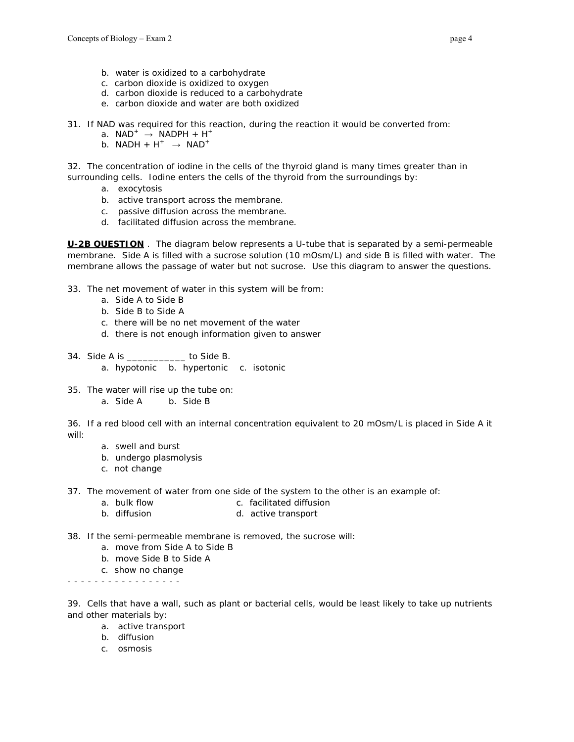- b. water is oxidized to a carbohydrate
- c. carbon dioxide is oxidized to oxygen
- d. carbon dioxide is reduced to a carbohydrate
- e. carbon dioxide and water are both oxidized
- 31. If NAD was required for this reaction, during the reaction it would be converted from:
	- a.  $NAD^+ \rightarrow NADPH + H^+$
	- b. NADH +  $H^+$   $\rightarrow$  NAD<sup>+</sup>

32. The concentration of iodine in the cells of the thyroid gland is many times greater than in surrounding cells. Iodine enters the cells of the thyroid from the surroundings by:

- a. exocytosis
- b. active transport across the membrane.
- c. passive diffusion across the membrane.
- d. facilitated diffusion across the membrane.

**U-2B QUESTION** . The diagram below represents a U-tube that is separated by a semi-permeable membrane. Side A is filled with a sucrose solution (10 mOsm/L) and side B is filled with water. The membrane allows the passage of water but not sucrose. Use this diagram to answer the questions.

- 33. The net movement of water in this system will be from:
	- a. Side A to Side B
	- b. Side B to Side A
	- c. there will be no net movement of the water
	- d. there is not enough information given to answer
- 34. Side A is \_\_\_\_\_\_\_\_\_\_\_ to Side B. a. hypotonic b. hypertonic c. isotonic
- 35. The water will rise up the tube on:
	- a. Side A b. Side B

36. If a red blood cell with an internal concentration equivalent to 20 mOsm/L is placed in Side A it will:

- a. swell and burst
- b. undergo plasmolysis
- c. not change
- 37. The movement of water from one side of the system to the other is an example of:
	- a. bulk flow c. facilitated diffusion
	- b. diffusion b. diffusion d. active transport
- 38. If the semi-permeable membrane is removed, the sucrose will:
	- a. move from Side A to Side B
	- b. move Side B to Side A
	- c. show no change

- - - - - - - - - - - - - - - - -

39. Cells that have a wall, such as plant or bacterial cells, would be least likely to take up nutrients and other materials by:

- a. active transport
- b. diffusion
- c. osmosis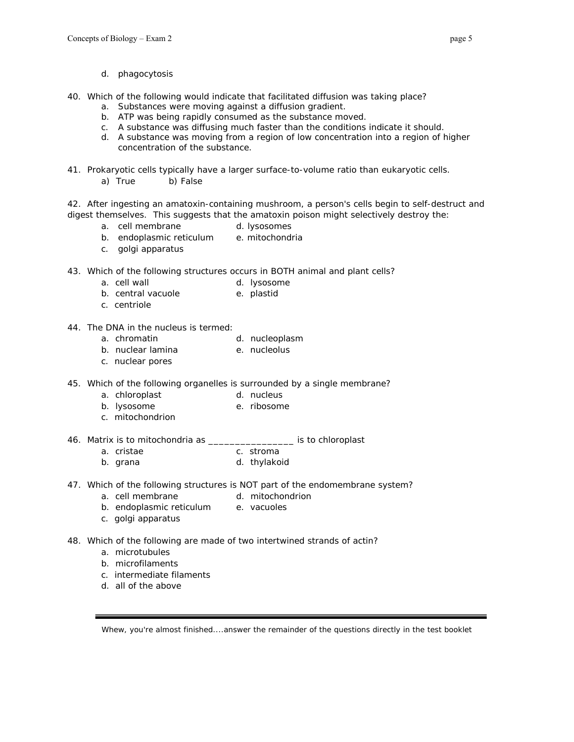- d. phagocytosis
- 40. Which of the following would indicate that facilitated diffusion was taking place?
	- a. Substances were moving against a diffusion gradient.
	- b. ATP was being rapidly consumed as the substance moved.
	- c. A substance was diffusing much faster than the conditions indicate it should.
	- d. A substance was moving from a region of low concentration into a region of higher concentration of the substance.
- 41. Prokaryotic cells typically have a larger surface-to-volume ratio than eukaryotic cells. a) True b) False

42. After ingesting an amatoxin-containing mushroom, a person's cells begin to self-destruct and digest themselves. This suggests that the amatoxin poison might selectively destroy the:

- a. cell membrane d. lysosomes
- b. endoplasmic reticulum e. mitochondria
- c. golgi apparatus
- 43. Which of the following structures occurs in BOTH animal and plant cells?
	- a. cell wall a cell wall a subset of the d. lysosome
	- b. central vacuole b. plastid
	- c. centriole
- 44. The DNA in the nucleus is termed:
	- a. chromatin d. nucleoplasm
	- b. nuclear lamina e. nucleolus
	- c. nuclear pores
- 45. Which of the following organelles is surrounded by a single membrane?
	- a. chloroplast d. nucleus
	- b. lysosome e. ribosome
		- c. mitochondrion

46. Matrix is to mitochondria as \_\_\_\_\_\_\_\_\_\_\_\_\_\_\_\_ is to chloroplast

- a. cristae c. stroma
- b. grana d. thylakoid
- 47. Which of the following structures is NOT part of the endomembrane system?
	- a. cell membrane d. mitochondrion
	- b. endoplasmic reticulum e. vacuoles
	- c. golgi apparatus
- 48. Which of the following are made of two intertwined strands of actin?
	- a. microtubules
	- b. microfilaments
	- c. intermediate filaments
	- d. all of the above

*Whew, you're almost finished....answer the remainder of the questions directly in the test booklet*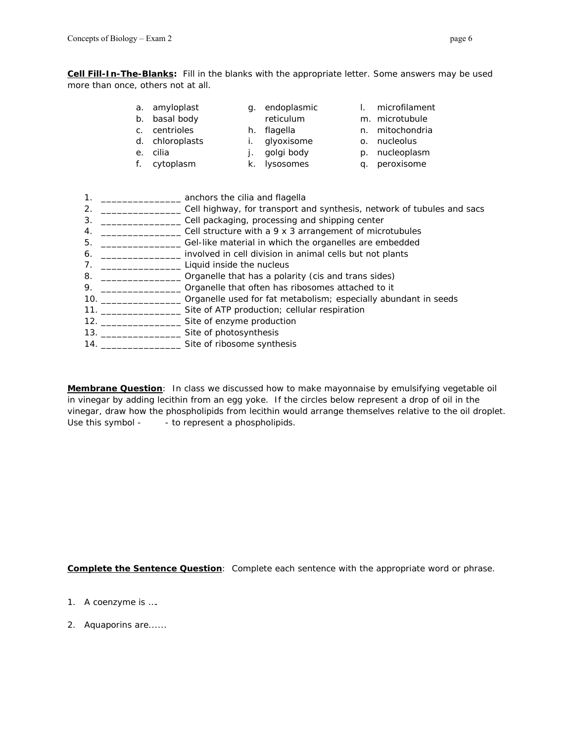**Cell Fill-In-The-Blanks:** *Fill in the blanks with the appropriate letter. Some answers may be used more than once, others not at all.* 

- a. amyloplast g. endoplasmic
- b. basal body c. centrioles
- reticulum
- h. flagella
- d. chloroplasts
- e. cilia f. cytoplasm
- i. glyoxisome
- j. golgi body
- k. lysosomes
- o. nucleolus p. nucleoplasm

l. microfilament m. microtubule n. mitochondria

- q. peroxisome
- 1. \_\_\_\_\_\_\_\_\_\_\_\_\_\_\_ anchors the cilia and flagella 2. \_\_\_\_\_\_\_\_\_\_\_\_\_\_\_\_\_\_\_\_ Cell highway, for transport and synthesis, network of tubules and sacs 3. \_\_\_\_\_\_\_\_\_\_\_\_\_\_\_ Cell packaging, processing and shipping center 4. \_\_\_\_\_\_\_\_\_\_\_\_\_\_\_\_\_\_\_\_\_ Cell structure with a 9 x 3 arrangement of microtubules 5. \_\_\_\_\_\_\_\_\_\_\_\_\_\_\_ Gel-like material in which the organelles are embedded 6. \_\_\_\_\_\_\_\_\_\_\_\_\_\_\_ involved in cell division in animal cells but not plants 7. \_\_\_\_\_\_\_\_\_\_\_\_\_\_\_\_\_\_\_\_\_\_\_\_\_\_\_ Liquid inside the nucleus 8. \_\_\_\_\_\_\_\_\_\_\_\_\_\_\_\_\_\_\_ Organelle that has a polarity (cis and trans sides) 9. \_\_\_\_\_\_\_\_\_\_\_\_\_\_\_\_\_\_\_ Organelle that often has ribosomes attached to it 10. \_\_\_\_\_\_\_\_\_\_\_\_\_\_\_ Organelle used for fat metabolism; especially abundant in seeds 11. \_\_\_\_\_\_\_\_\_\_\_\_\_\_\_ Site of ATP production; cellular respiration 12. \_\_\_\_\_\_\_\_\_\_\_\_\_\_\_\_\_\_\_\_\_\_\_ Site of enzyme production 13. \_\_\_\_\_\_\_\_\_\_\_\_\_\_\_\_\_\_\_\_\_ Site of photosynthesis 14. \_\_\_\_\_\_\_\_\_\_\_\_\_\_\_ Site of ribosome synthesis

**Membrane Question**: In class we discussed how to make mayonnaise by emulsifying vegetable oil in vinegar by adding lecithin from an egg yoke. If the circles below represent a drop of oil in the vinegar, draw how the phospholipids from lecithin would arrange themselves relative to the oil droplet. Use this symbol - - to represent a phospholipids.

**Complete the Sentence Question**: Complete each sentence with the appropriate word or phrase.

- 1. A coenzyme is ….
- 2. Aquaporins are......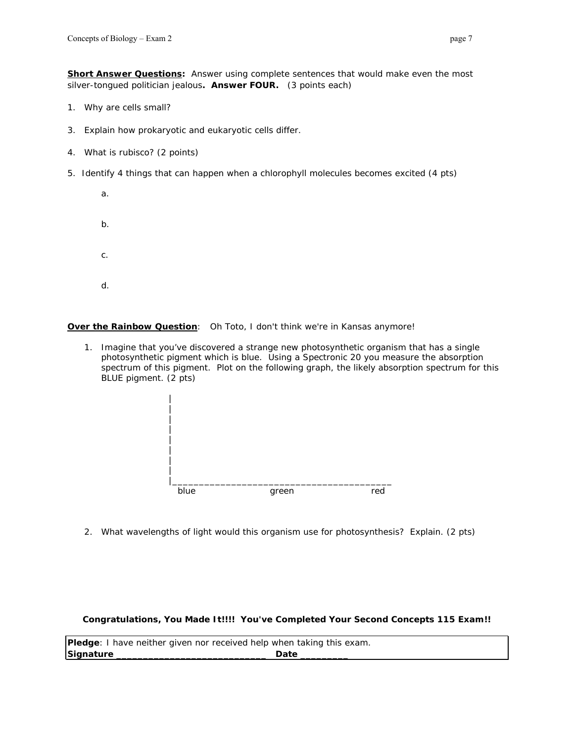**Short Answer Questions:** *Answer using complete sentences that would make even the most silver-tongued politician jealous***. Answer FOUR.** (3 points each)

- 1. Why are cells small?
- 3. Explain how prokaryotic and eukaryotic cells differ.
- 4. What is rubisco? (2 points)
- 5. Identify 4 things that can happen when a chlorophyll molecules becomes excited (4 pts)
	- a. b. c. d.

## **Over the Rainbow Question**: *Oh Toto, I don't think we're in Kansas anymore!*

1. Imagine that you've discovered a strange new photosynthetic organism that has a single photosynthetic pigment which is blue. Using a Spectronic 20 you measure the absorption spectrum of this pigment. Plot on the following graph, the likely absorption spectrum for this BLUE pigment. (2 pts)



2. What wavelengths of light would this organism use for photosynthesis? Explain. (2 pts)

*Congratulations, You Made It!!!! You've Completed Your Second Concepts 115 Exam***!!** 

**Pledge**: I have neither given nor received help when taking this exam. **Signature** \_\_\_\_\_\_\_\_\_\_\_\_\_\_\_\_\_\_\_\_\_\_\_\_\_\_\_\_ **Date** \_\_\_\_\_\_\_\_\_